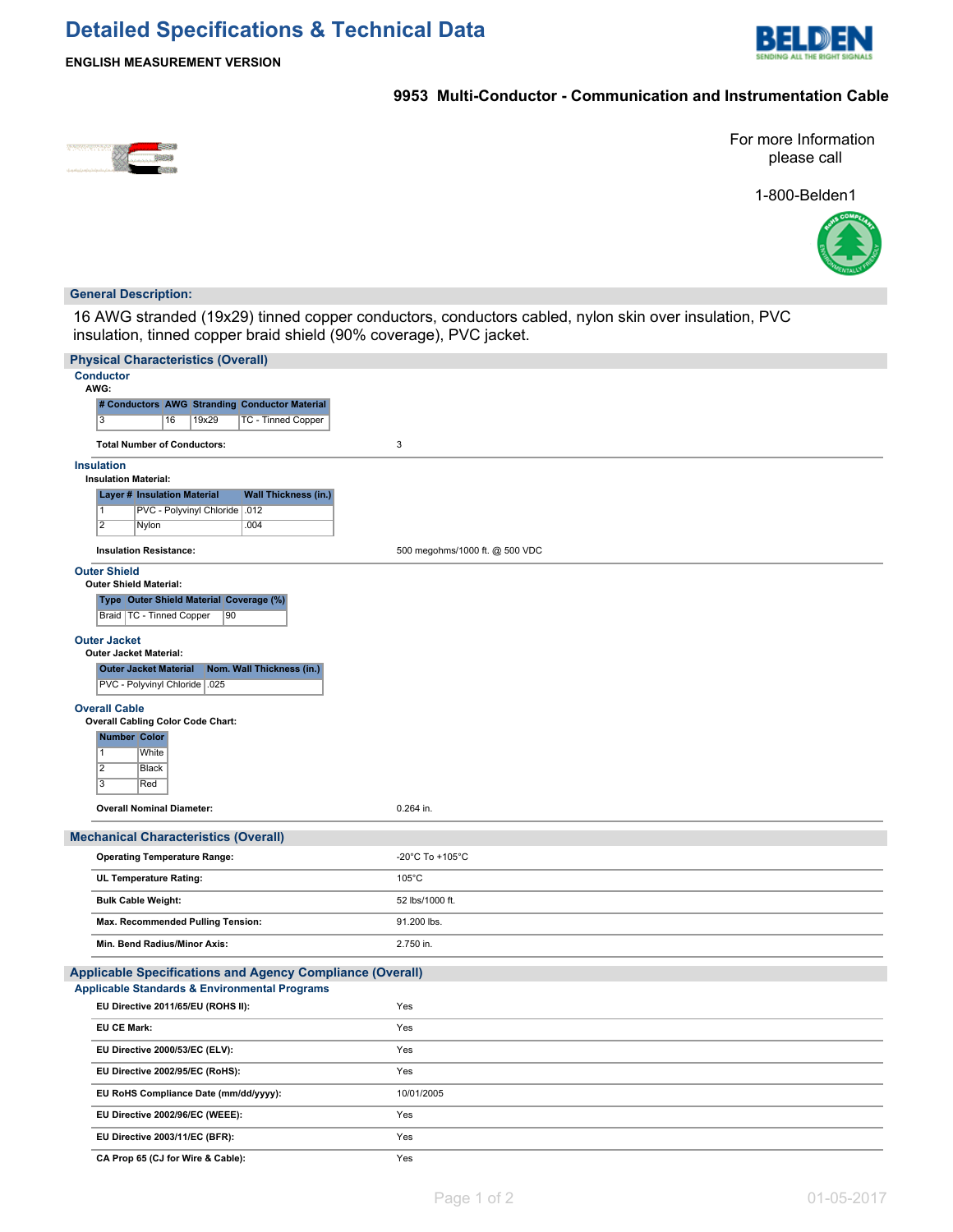# **Detailed Specifications & Technical Data**



## **ENGLISH MEASUREMENT VERSION**

## **9953 Multi-Conductor - Communication and Instrumentation Cable**



For more Information please call

1-800-Belden1



### **General Description:**

16 AWG stranded (19x29) tinned copper conductors, conductors cabled, nylon skin over insulation, PVC insulation, tinned copper braid shield (90% coverage), PVC jacket.

| <b>Physical Characteristics (Overall)</b>                         |                                |  |  |  |
|-------------------------------------------------------------------|--------------------------------|--|--|--|
| <b>Conductor</b><br>AWG:                                          |                                |  |  |  |
| # Conductors AWG Stranding Conductor Material                     |                                |  |  |  |
| $\overline{3}$<br>19x29<br><b>TC - Tinned Copper</b><br>16        |                                |  |  |  |
| <b>Total Number of Conductors:</b>                                | 3                              |  |  |  |
| <b>Insulation</b><br><b>Insulation Material:</b>                  |                                |  |  |  |
| <b>Layer # Insulation Material</b><br><b>Wall Thickness (in.)</b> |                                |  |  |  |
| PVC - Polyvinyl Chloride   .012<br>$\vert$ 1                      |                                |  |  |  |
| $\overline{2}$<br>.004<br>Nylon                                   |                                |  |  |  |
| <b>Insulation Resistance:</b>                                     | 500 megohms/1000 ft. @ 500 VDC |  |  |  |
| <b>Outer Shield</b><br>Outer Shield Material:                     |                                |  |  |  |
| Type Outer Shield Material Coverage (%)                           |                                |  |  |  |
| Braid   TC - Tinned Copper<br>90                                  |                                |  |  |  |
| <b>Outer Jacket</b><br><b>Outer Jacket Material:</b>              |                                |  |  |  |
| <b>Outer Jacket Material</b><br>Nom. Wall Thickness (in.)         |                                |  |  |  |
| PVC - Polyvinyl Chloride   025                                    |                                |  |  |  |
| <b>Overall Cable</b>                                              |                                |  |  |  |
| <b>Overall Cabling Color Code Chart:</b><br><b>Number Color</b>   |                                |  |  |  |
| White<br>$\overline{1}$                                           |                                |  |  |  |
| $\overline{2}$<br>Black                                           |                                |  |  |  |
| $\overline{3}$<br>Red                                             |                                |  |  |  |
| <b>Overall Nominal Diameter:</b>                                  | 0.264 in.                      |  |  |  |
| <b>Mechanical Characteristics (Overall)</b>                       |                                |  |  |  |
| <b>Operating Temperature Range:</b>                               | -20°C To +105°C                |  |  |  |
| UL Temperature Rating:                                            | $105^{\circ}$ C                |  |  |  |
| <b>Bulk Cable Weight:</b>                                         | 52 lbs/1000 ft.                |  |  |  |
| Max. Recommended Pulling Tension:                                 | 91.200 lbs.                    |  |  |  |
| Min. Bend Radius/Minor Axis:                                      | 2.750 in.                      |  |  |  |
| <b>Applicable Specifications and Agency Compliance (Overall)</b>  |                                |  |  |  |
| <b>Applicable Standards &amp; Environmental Programs</b>          |                                |  |  |  |
| EU Directive 2011/65/EU (ROHS II):                                | Yes                            |  |  |  |
| <b>EU CE Mark:</b>                                                | Yes                            |  |  |  |
| EU Directive 2000/53/EC (ELV):                                    | Yes                            |  |  |  |
| EU Directive 2002/95/EC (RoHS):                                   | Yes                            |  |  |  |
| EU RoHS Compliance Date (mm/dd/yyyy):                             | 10/01/2005                     |  |  |  |
| EU Directive 2002/96/EC (WEEE):                                   | Yes                            |  |  |  |
| EU Directive 2003/11/EC (BFR):                                    | Yes                            |  |  |  |
| CA Prop 65 (CJ for Wire & Cable):                                 | Yes                            |  |  |  |